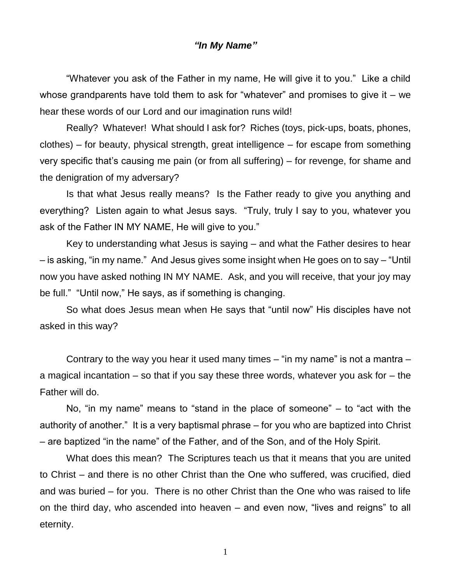## *"In My Name"*

"Whatever you ask of the Father in my name, He will give it to you." Like a child whose grandparents have told them to ask for "whatever" and promises to give it  $-$  we hear these words of our Lord and our imagination runs wild!

Really? Whatever! What should I ask for? Riches (toys, pick-ups, boats, phones, clothes) – for beauty, physical strength, great intelligence – for escape from something very specific that's causing me pain (or from all suffering) – for revenge, for shame and the denigration of my adversary?

Is that what Jesus really means? Is the Father ready to give you anything and everything? Listen again to what Jesus says. "Truly, truly I say to you, whatever you ask of the Father IN MY NAME, He will give to you."

Key to understanding what Jesus is saying – and what the Father desires to hear – is asking, "in my name." And Jesus gives some insight when He goes on to say – "Until now you have asked nothing IN MY NAME. Ask, and you will receive, that your joy may be full." "Until now," He says, as if something is changing.

So what does Jesus mean when He says that "until now" His disciples have not asked in this way?

Contrary to the way you hear it used many times  $-$  "in my name" is not a mantra  $$ a magical incantation – so that if you say these three words, whatever you ask for – the Father will do.

No, "in my name" means to "stand in the place of someone" – to "act with the authority of another." It is a very baptismal phrase – for you who are baptized into Christ – are baptized "in the name" of the Father, and of the Son, and of the Holy Spirit.

What does this mean? The Scriptures teach us that it means that you are united to Christ – and there is no other Christ than the One who suffered, was crucified, died and was buried – for you. There is no other Christ than the One who was raised to life on the third day, who ascended into heaven – and even now, "lives and reigns" to all eternity.

1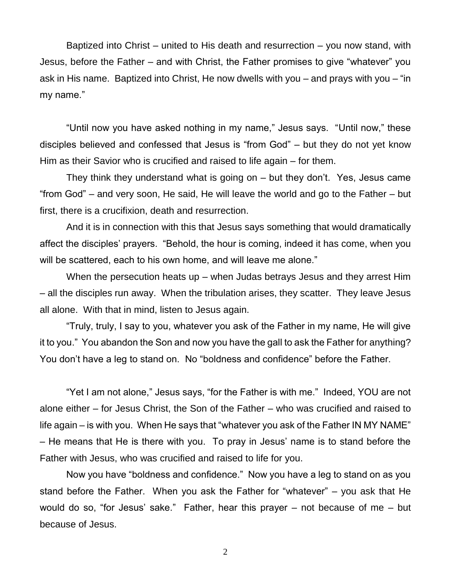Baptized into Christ – united to His death and resurrection – you now stand, with Jesus, before the Father – and with Christ, the Father promises to give "whatever" you ask in His name. Baptized into Christ, He now dwells with you – and prays with you – "in my name."

"Until now you have asked nothing in my name," Jesus says. "Until now," these disciples believed and confessed that Jesus is "from God" – but they do not yet know Him as their Savior who is crucified and raised to life again – for them.

They think they understand what is going on – but they don't. Yes, Jesus came "from God" – and very soon, He said, He will leave the world and go to the Father – but first, there is a crucifixion, death and resurrection.

And it is in connection with this that Jesus says something that would dramatically affect the disciples' prayers. "Behold, the hour is coming, indeed it has come, when you will be scattered, each to his own home, and will leave me alone."

When the persecution heats up – when Judas betrays Jesus and they arrest Him – all the disciples run away. When the tribulation arises, they scatter. They leave Jesus all alone. With that in mind, listen to Jesus again.

"Truly, truly, I say to you, whatever you ask of the Father in my name, He will give it to you." You abandon the Son and now you have the gall to ask the Father for anything? You don't have a leg to stand on. No "boldness and confidence" before the Father.

"Yet I am not alone," Jesus says, "for the Father is with me." Indeed, YOU are not alone either – for Jesus Christ, the Son of the Father – who was crucified and raised to life again – is with you. When He says that "whatever you ask of the Father IN MY NAME" – He means that He is there with you. To pray in Jesus' name is to stand before the Father with Jesus, who was crucified and raised to life for you.

Now you have "boldness and confidence." Now you have a leg to stand on as you stand before the Father. When you ask the Father for "whatever" – you ask that He would do so, "for Jesus' sake." Father, hear this prayer – not because of me – but because of Jesus.

2